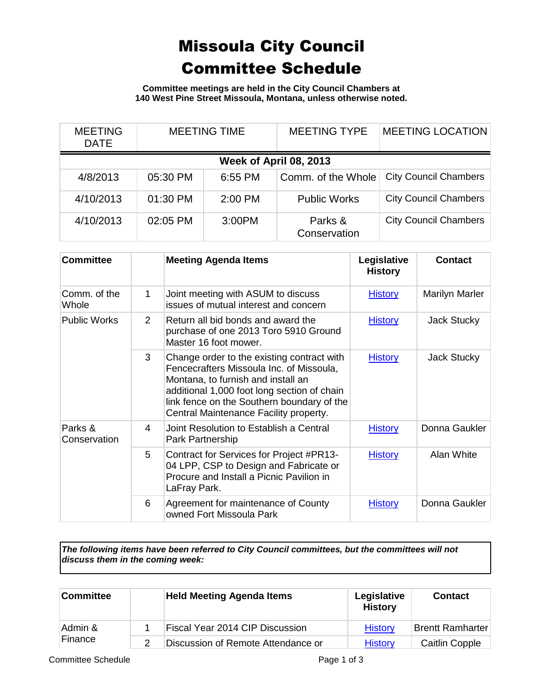## Missoula City Council Committee Schedule

**Committee meetings are held in the City Council Chambers at 140 West Pine Street Missoula, Montana, unless otherwise noted.**

| <b>MEETING</b><br><b>DATE</b> | <b>MEETING TIME</b> |                        | <b>MEETING TYPE</b>     | <b>MEETING LOCATION</b>      |
|-------------------------------|---------------------|------------------------|-------------------------|------------------------------|
|                               |                     | Week of April 08, 2013 |                         |                              |
| 4/8/2013                      | 05:30 PM            | 6:55 PM                | Comm. of the Whole      | <b>City Council Chambers</b> |
| 4/10/2013                     | 01:30 PM            | $2:00$ PM              | <b>Public Works</b>     | <b>City Council Chambers</b> |
| 4/10/2013                     | 02:05 PM            | 3:00PM                 | Parks &<br>Conservation | <b>City Council Chambers</b> |

| <b>Committee</b>        |                | <b>Meeting Agenda Items</b>                                                                                                                                                                                                                                         | Legislative<br><b>History</b> | <b>Contact</b> |
|-------------------------|----------------|---------------------------------------------------------------------------------------------------------------------------------------------------------------------------------------------------------------------------------------------------------------------|-------------------------------|----------------|
| Comm. of the<br>Whole   | 1              | Joint meeting with ASUM to discuss<br>issues of mutual interest and concern                                                                                                                                                                                         | <b>History</b>                | Marilyn Marler |
| <b>Public Works</b>     | $\overline{2}$ | Return all bid bonds and award the<br>purchase of one 2013 Toro 5910 Ground<br>Master 16 foot mower.                                                                                                                                                                | <b>History</b>                | Jack Stucky    |
|                         | 3              | Change order to the existing contract with<br>Fencecrafters Missoula Inc. of Missoula,<br>Montana, to furnish and install an<br>additional 1,000 foot long section of chain<br>link fence on the Southern boundary of the<br>Central Maintenance Facility property. | <b>History</b>                | Jack Stucky    |
| Parks &<br>Conservation | 4              | Joint Resolution to Establish a Central<br>Park Partnership                                                                                                                                                                                                         | <b>History</b>                | Donna Gaukler  |
|                         | 5              | Contract for Services for Project #PR13-<br>04 LPP, CSP to Design and Fabricate or<br>Procure and Install a Picnic Pavilion in<br>LaFray Park.                                                                                                                      | <b>History</b>                | Alan White     |
|                         | 6              | Agreement for maintenance of County<br>owned Fort Missoula Park                                                                                                                                                                                                     | <b>History</b>                | Donna Gaukler  |

*The following items have been referred to City Council committees, but the committees will not discuss them in the coming week:*

| <b>Committee</b>   | <b>Held Meeting Agenda Items</b>       | Legislative<br><b>History</b> | <b>Contact</b>          |
|--------------------|----------------------------------------|-------------------------------|-------------------------|
| Admin &<br>Finance | <b>Fiscal Year 2014 CIP Discussion</b> | <b>History</b>                | <b>Brentt Ramharter</b> |
|                    | Discussion of Remote Attendance or     | <b>History</b>                | Caitlin Copple          |

Committee Schedule **Page 1 of 3**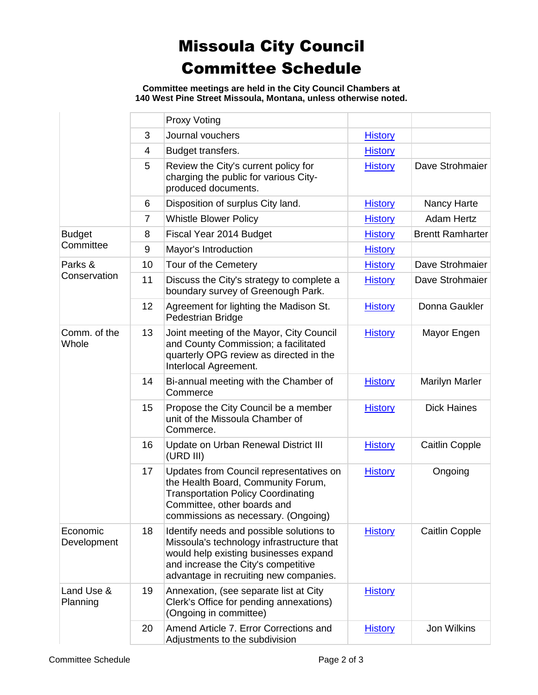## Missoula City Council Committee Schedule

**Committee meetings are held in the City Council Chambers at 140 West Pine Street Missoula, Montana, unless otherwise noted.**

|                         |                | <b>Proxy Voting</b>                                                                                                                                                                                             |                |                         |
|-------------------------|----------------|-----------------------------------------------------------------------------------------------------------------------------------------------------------------------------------------------------------------|----------------|-------------------------|
|                         | 3              | Journal vouchers                                                                                                                                                                                                | <b>History</b> |                         |
|                         | 4              | Budget transfers.                                                                                                                                                                                               | <b>History</b> |                         |
|                         | 5              | Review the City's current policy for<br>charging the public for various City-<br>produced documents.                                                                                                            | <b>History</b> | Dave Strohmaier         |
|                         | 6              | Disposition of surplus City land.                                                                                                                                                                               | <b>History</b> | Nancy Harte             |
|                         | $\overline{7}$ | <b>Whistle Blower Policy</b>                                                                                                                                                                                    | <b>History</b> | <b>Adam Hertz</b>       |
| <b>Budget</b>           | 8              | Fiscal Year 2014 Budget                                                                                                                                                                                         | <b>History</b> | <b>Brentt Ramharter</b> |
| Committee               | 9              | Mayor's Introduction                                                                                                                                                                                            | <b>History</b> |                         |
| Parks &                 | 10             | Tour of the Cemetery                                                                                                                                                                                            | <b>History</b> | Dave Strohmaier         |
| Conservation            | 11             | Discuss the City's strategy to complete a<br>boundary survey of Greenough Park.                                                                                                                                 | <b>History</b> | Dave Strohmaier         |
|                         | 12             | Agreement for lighting the Madison St.<br>Pedestrian Bridge                                                                                                                                                     | <b>History</b> | Donna Gaukler           |
| Comm. of the<br>Whole   | 13             | Joint meeting of the Mayor, City Council<br>and County Commission; a facilitated<br>quarterly OPG review as directed in the<br>Interlocal Agreement.                                                            | <b>History</b> | Mayor Engen             |
|                         | 14             | Bi-annual meeting with the Chamber of<br>Commerce                                                                                                                                                               | <b>History</b> | <b>Marilyn Marler</b>   |
|                         | 15             | Propose the City Council be a member<br>unit of the Missoula Chamber of<br>Commerce.                                                                                                                            | <b>History</b> | <b>Dick Haines</b>      |
|                         | 16             | Update on Urban Renewal District III<br>(URD III)                                                                                                                                                               | <b>History</b> | Caitlin Copple          |
|                         | 17             | Updates from Council representatives on<br>the Health Board, Community Forum,<br><b>Transportation Policy Coordinating</b><br>Committee, other boards and<br>commissions as necessary. (Ongoing)                | <b>History</b> | Ongoing                 |
| Economic<br>Development | 18             | Identify needs and possible solutions to<br>Missoula's technology infrastructure that<br>would help existing businesses expand<br>and increase the City's competitive<br>advantage in recruiting new companies. | <b>History</b> | <b>Caitlin Copple</b>   |
| Land Use &<br>Planning  | 19             | Annexation, (see separate list at City<br>Clerk's Office for pending annexations)<br>(Ongoing in committee)                                                                                                     | <b>History</b> |                         |
|                         | 20             | Amend Article 7. Error Corrections and<br>Adjustments to the subdivision                                                                                                                                        | <b>History</b> | Jon Wilkins             |